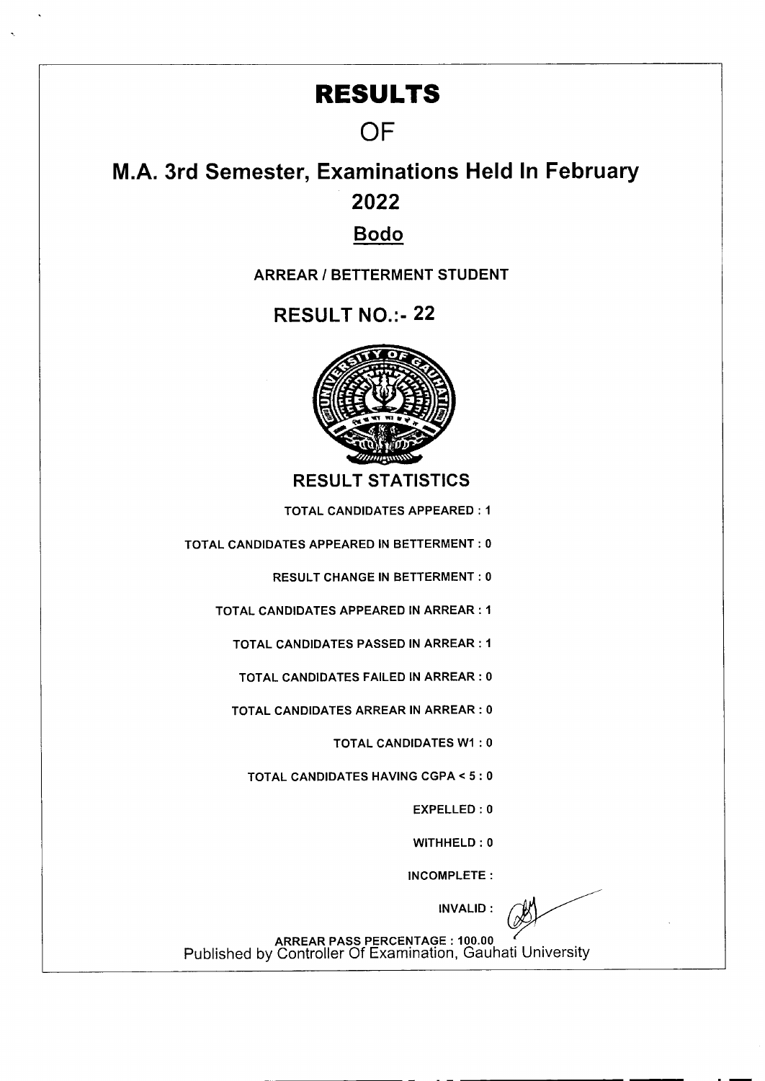## **RESULTS**

## **OF**

## **M.A. 3rd Semester, Examinations Held In February 2022**

## **Bodo**

**ARREAR I BETTERMENT STUDENT** 

RESULT NO.:- 22



**RESULT STATISTICS** 

TOTAL CANDIDATES APPEARED: I

TOTAL CANDIDATES APPEARED IN BETTERMENT: 0

RESULT CHANGE IN BETTERMENT: 0

TOTAL CANDIDATES APPEARED IN ARREAR: I

TOTAL CANDIDATES PASSED IN ARREAR: I

TOTAL CANDIDATES FAILED IN ARREAR: 0

TOTAL CANDIDATES ARREAR IN ARREAR: 0

TOTAL CANDIDATES WI : 0

TOTAL CANDIDATES HAVING CGPA < 5: 0

EXPELLED : 0

WITHHELD: 0

INCOMPLETE:

INVALID:

ARREAR PASS PERCENTAGE: 100.00 Published by Controller Of Examination, Gauhati University